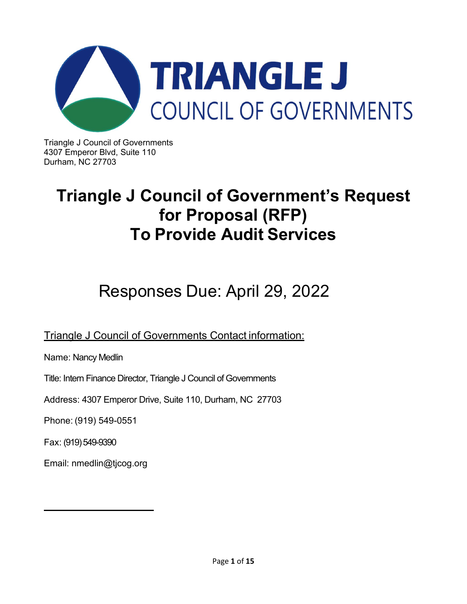

Triangle J Council of Governments 4307 Emperor Blvd, Suite 110 Durham, NC 27703

## **Triangle J Council of Government's Request for Proposal (RFP) To Provide Audit Services**

# Responses Due: April 29, 2022

Triangle J Council of Governments Contact information:

Name: Nancy Medlin

Title: Intern Finance Director, Triangle J Council of Governments

Address: 4307 Emperor Drive, Suite 110, Durham, NC 27703

Phone: (919) 549-0551

Fax: (919) 549-9390

Email: nmedlin@tjcog.org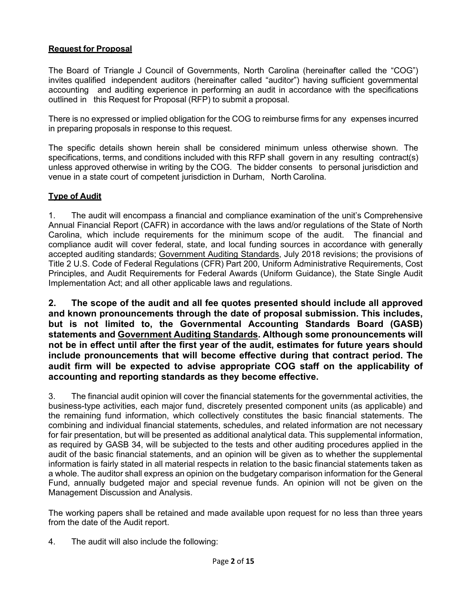## **Request for Proposal**

The Board of Triangle J Council of Governments, North Carolina (hereinafter called the "COG") invites qualified independent auditors (hereinafter called "auditor") having sufficient governmental accounting and auditing experience in performing an audit in accordance with the specifications outlined in this Request for Proposal (RFP) to submit a proposal.

There is no expressed or implied obligation for the COG to reimburse firms for any expenses incurred in preparing proposals in response to this request.

The specific details shown herein shall be considered minimum unless otherwise shown. The specifications, terms, and conditions included with this RFP shall govern in any resulting contract(s) unless approved otherwise in writing by the COG. The bidder consents to personal jurisdiction and venue in a state court of competent jurisdiction in Durham, North Carolina.

#### **Type of Audit**

1. The audit will encompass a financial and compliance examination of the unit's Comprehensive Annual Financial Report (CAFR) in accordance with the laws and/or regulations of the State of North Carolina, which include requirements for the minimum scope of the audit. The financial and compliance audit will cover federal, state, and local funding sources in accordance with generally accepted auditing standards; Government Auditing Standards, July 2018 revisions; the provisions of Title 2 U.S. Code of Federal Regulations (CFR) Part 200, Uniform Administrative Requirements, Cost Principles, and Audit Requirements for Federal Awards (Uniform Guidance), the State Single Audit Implementation Act; and all other applicable laws and regulations.

**2. The scope of the audit and all fee quotes presented should include all approved and known pronouncements through the date of proposal submission. This includes, but is not limited to, the Governmental Accounting Standards Board (GASB) statements and Government Auditing Standards. Although some pronouncements will not be in effect until after the first year of the audit, estimates for future years should include pronouncements that will become effective during that contract period. The audit firm will be expected to advise appropriate COG staff on the applicability of accounting and reporting standards as they become effective.**

3. The financial audit opinion will cover the financial statements for the governmental activities, the business-type activities, each major fund, discretely presented component units (as applicable) and the remaining fund information, which collectively constitutes the basic financial statements. The combining and individual financial statements, schedules, and related information are not necessary for fair presentation, but will be presented as additional analytical data. This supplemental information, as required by GASB 34, will be subjected to the tests and other auditing procedures applied in the audit of the basic financial statements, and an opinion will be given as to whether the supplemental information is fairly stated in all material respects in relation to the basic financial statements taken as a whole. The auditor shall express an opinion on the budgetary comparison information for the General Fund, annually budgeted major and special revenue funds. An opinion will not be given on the Management Discussion and Analysis.

The working papers shall be retained and made available upon request for no less than three years from the date of the Audit report.

4. The audit will also include the following: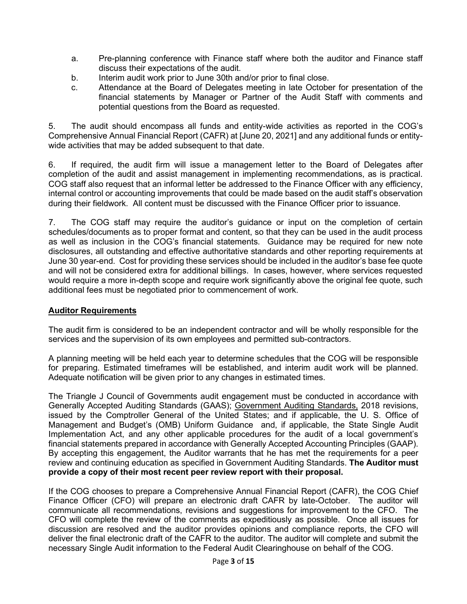- a. Pre-planning conference with Finance staff where both the auditor and Finance staff discuss their expectations of the audit.
- b. Interim audit work prior to June 30th and/or prior to final close.
- c. Attendance at the Board of Delegates meeting in late October for presentation of the financial statements by Manager or Partner of the Audit Staff with comments and potential questions from the Board as requested.

5. The audit should encompass all funds and entity-wide activities as reported in the COG's Comprehensive Annual Financial Report (CAFR) at [June 20, 2021] and any additional funds or entitywide activities that may be added subsequent to that date.

6. If required, the audit firm will issue a management letter to the Board of Delegates after completion of the audit and assist management in implementing recommendations, as is practical. COG staff also request that an informal letter be addressed to the Finance Officer with any efficiency, internal control or accounting improvements that could be made based on the audit staff's observation during their fieldwork. All content must be discussed with the Finance Officer prior to issuance.

7. The COG staff may require the auditor's guidance or input on the completion of certain schedules/documents as to proper format and content, so that they can be used in the audit process as well as inclusion in the COG's financial statements. Guidance may be required for new note disclosures, all outstanding and effective authoritative standards and other reporting requirements at June 30 year-end. Cost for providing these services should be included in the auditor's base fee quote and will not be considered extra for additional billings. In cases, however, where services requested would require a more in-depth scope and require work significantly above the original fee quote, such additional fees must be negotiated prior to commencement of work.

## **Auditor Requirements**

The audit firm is considered to be an independent contractor and will be wholly responsible for the services and the supervision of its own employees and permitted sub-contractors.

A planning meeting will be held each year to determine schedules that the COG will be responsible for preparing. Estimated timeframes will be established, and interim audit work will be planned. Adequate notification will be given prior to any changes in estimated times.

The Triangle J Council of Governments audit engagement must be conducted in accordance with Generally Accepted Auditing Standards (GAAS); Government Auditing Standards, 2018 revisions, issued by the Comptroller General of the United States; and if applicable, the U. S. Office of Management and Budget's (OMB) Uniform Guidance and, if applicable, the State Single Audit Implementation Act, and any other applicable procedures for the audit of a local government's financial statements prepared in accordance with Generally Accepted Accounting Principles (GAAP). By accepting this engagement, the Auditor warrants that he has met the requirements for a peer review and continuing education as specified in Government Auditing Standards. **The Auditor must provide a copy of their most recent peer review report with their proposal.** 

If the COG chooses to prepare a Comprehensive Annual Financial Report (CAFR), the COG Chief Finance Officer (CFO) will prepare an electronic draft CAFR by late-October. The auditor will communicate all recommendations, revisions and suggestions for improvement to the CFO. The CFO will complete the review of the comments as expeditiously as possible. Once all issues for discussion are resolved and the auditor provides opinions and compliance reports, the CFO will deliver the final electronic draft of the CAFR to the auditor. The auditor will complete and submit the necessary Single Audit information to the Federal Audit Clearinghouse on behalf of the COG.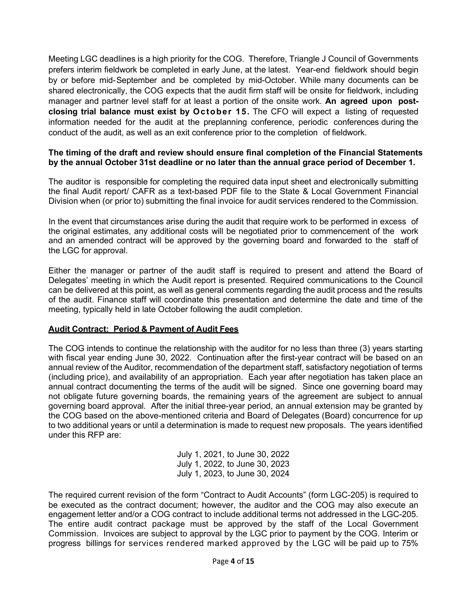Meeting LGC deadlines is a high priority for the COG. Therefore, Triangle J Council of Governments prefers interim fieldwork be completed in early June, at the latest. Year-end fieldwork should begin by or before mid-September and be completed by mid-October. While many documents can be shared electronically, the COG expects that the audit firm staff will be onsite for fieldwork, including manager and partner level staff for at least a portion of the onsite work. **An agreed upon postclosing trial balance must exist by October 15.** The CFO will expect a listing of requested information needed for the audit at the preplanning conference, periodic conferences during the conduct of the audit, as well as an exit conference prior to the completion of fieldwork.

#### **The timing of the draft and review should ensure final completion of the Financial Statements by the annual October 31st deadline or no later than the annual grace period of December 1.**

The auditor is responsible for completing the required data input sheet and electronically submitting the final Audit report/ CAFR as a text-based PDF file to the State & Local Government Financial Division when (or prior to) submitting the final invoice for audit services rendered to the Commission.

In the event that circumstances arise during the audit that require work to be performed in excess of the original estimates, any additional costs will be negotiated prior to commencement of the work and an amended contract will be approved by the governing board and forwarded to the staff of the LGC for approval.

Either the manager or partner of the audit staff is required to present and attend the Board of Delegates' meeting in which the Audit report is presented. Required communications to the Council can be delivered at this point, as well as general comments regarding the audit process and the results of the audit. Finance staff will coordinate this presentation and determine the date and time of the meeting, typically held in late October following the audit completion.

#### **Audit Contract: Period & Payment of Audit Fees**

The COG intends to continue the relationship with the auditor for no less than three (3) years starting with fiscal year ending June 30, 2022. Continuation after the first-year contract will be based on an annual review of the Auditor, recommendation of the department staff, satisfactory negotiation of terms (including price), and availability of an appropriation. Each year after negotiation has taken place an annual contract documenting the terms of the audit will be signed. Since one governing board may not obligate future governing boards, the remaining years of the agreement are subject to annual governing board approval. After the initial three-year period, an annual extension may be granted by the COG based on the above-mentioned criteria and Board of Delegates (Board) concurrence for up to two additional years or until a determination is made to request new proposals. The years identified under this RFP are:

> July 1, 2021, to June 30, 2022 July 1, 2022, to June 30, 2023 July 1, 2023, to June 30, 2024

The required current revision of the form "Contract to Audit Accounts" (form LGC-205) is required to be executed as the contract document; however, the auditor and the COG may also execute an engagement letter and/or a COG contract to include additional terms not addressed in the LGC-205. The entire audit contract package must be approved by the staff of the Local Government Commission. Invoices are subject to approval by the LGC prior to payment by the COG. Interim or progress billings for services rendered marked approved by the LGC will be paid up to 75%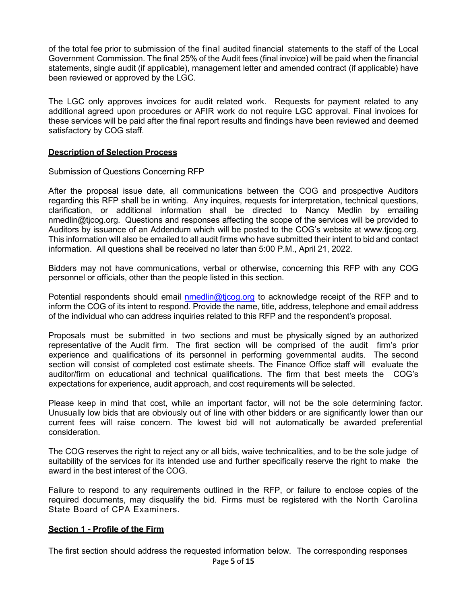of the total fee prior to submission of the final audited financial statements to the staff of the Local Government Commission. The final 25% of the Audit fees (final invoice) will be paid when the financial statements, single audit (if applicable), management letter and amended contract (if applicable) have been reviewed or approved by the LGC.

The LGC only approves invoices for audit related work. Requests for payment related to any additional agreed upon procedures or AFIR work do not require LGC approval. Final invoices for these services will be paid after the final report results and findings have been reviewed and deemed satisfactory by COG staff.

#### **Description of Selection Process**

Submission of Questions Concerning RFP

After the proposal issue date, all communications between the COG and prospective Auditors regarding this RFP shall be in writing. Any inquires, requests for interpretation, technical questions, clarification, or additional information shall be directed to Nancy Medlin by emailing nmedlin@tjcog.org. Questions and responses affecting the scope of the services will be provided to Auditors by issuance of an Addendum which will be posted to the COG's website at www.tjcog.org. This information will also be emailed to all audit firms who have submitted their intent to bid and contact information. All questions shall be received no later than 5:00 P.M., April 21, 2022.

Bidders may not have communications, verbal or otherwise, concerning this RFP with any COG personnel or officials, other than the people listed in this section.

Potential respondents should email nmedlin@ticog.org to acknowledge receipt of the RFP and to inform the COG of its intent to respond. Provide the name, title, address, telephone and email address of the individual who can address inquiries related to this RFP and the respondent's proposal.

Proposals must be submitted in two sections and must be physically signed by an authorized representative of the Audit firm. The first section will be comprised of the audit firm's prior experience and qualifications of its personnel in performing governmental audits. The second section will consist of completed cost estimate sheets. The Finance Office staff will evaluate the auditor/firm on educational and technical qualifications. The firm that best meets the COG's expectations for experience, audit approach, and cost requirements will be selected.

Please keep in mind that cost, while an important factor, will not be the sole determining factor. Unusually low bids that are obviously out of line with other bidders or are significantly lower than our current fees will raise concern. The lowest bid will not automatically be awarded preferential consideration.

The COG reserves the right to reject any or all bids, waive technicalities, and to be the sole judge of suitability of the services for its intended use and further specifically reserve the right to make the award in the best interest of the COG.

Failure to respond to any requirements outlined in the RFP, or failure to enclose copies of the required documents, may disqualify the bid. Firms must be registered with the North Carolina State Board of CPA Examiners.

#### **Section 1 - Profile of the Firm**

The first section should address the requested information below. The corresponding responses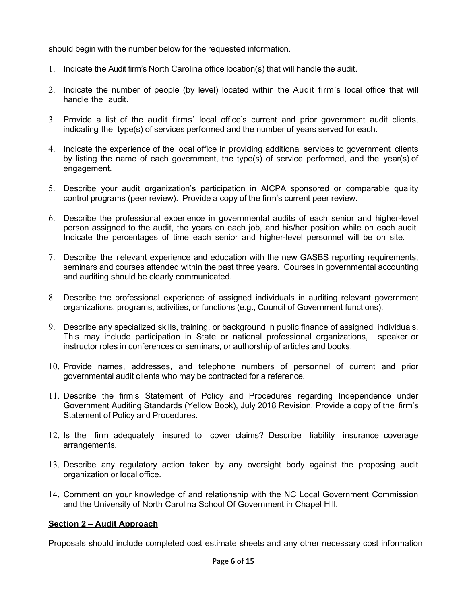should begin with the number below for the requested information.

- 1. Indicate the Audit firm's North Carolina office location(s) that will handle the audit.
- 2. Indicate the number of people (by level) located within the Audit firm's local office that will handle the audit.
- 3. Provide a list of the audit firms' local office's current and prior government audit clients, indicating the type(s) of services performed and the number of years served for each.
- 4. Indicate the experience of the local office in providing additional services to government clients by listing the name of each government, the type(s) of service performed, and the year(s) of engagement.
- 5. Describe your audit organization's participation in AICPA sponsored or comparable quality control programs (peer review). Provide a copy of the firm's current peer review.
- 6. Describe the professional experience in governmental audits of each senior and higher-level person assigned to the audit, the years on each job, and his/her position while on each audit. Indicate the percentages of time each senior and higher-level personnel will be on site.
- 7. Describe the relevant experience and education with the new GASBS reporting requirements, seminars and courses attended within the past three years. Courses in governmental accounting and auditing should be clearly communicated.
- 8. Describe the professional experience of assigned individuals in auditing relevant government organizations, programs, activities, or functions (e.g., Council of Government functions).
- 9. Describe any specialized skills, training, or background in public finance of assigned individuals. This may include participation in State or national professional organizations, speaker or instructor roles in conferences or seminars, or authorship of articles and books.
- 10. Provide names, addresses, and telephone numbers of personnel of current and prior governmental audit clients who may be contracted for a reference.
- 11. Describe the firm's Statement of Policy and Procedures regarding Independence under Government Auditing Standards (Yellow Book), July 2018 Revision. Provide a copy of the firm's Statement of Policy and Procedures.
- 12. Is the firm adequately insured to cover claims? Describe liability insurance coverage arrangements.
- 13. Describe any regulatory action taken by any oversight body against the proposing audit organization or local office.
- 14. Comment on your knowledge of and relationship with the NC Local Government Commission and the University of North Carolina School Of Government in Chapel Hill.

## **Section 2 – Audit Approach**

Proposals should include completed cost estimate sheets and any other necessary cost information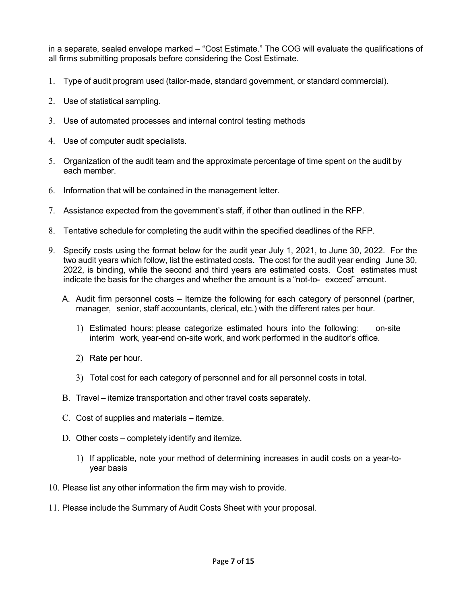in a separate, sealed envelope marked – "Cost Estimate." The COG will evaluate the qualifications of all firms submitting proposals before considering the Cost Estimate.

- 1. Type of audit program used (tailor-made, standard government, or standard commercial).
- 2. Use of statistical sampling.
- 3. Use of automated processes and internal control testing methods
- 4. Use of computer audit specialists.
- 5. Organization of the audit team and the approximate percentage of time spent on the audit by each member.
- 6. Information that will be contained in the management letter.
- 7. Assistance expected from the government's staff, if other than outlined in the RFP.
- 8. Tentative schedule for completing the audit within the specified deadlines of the RFP.
- 9. Specify costs using the format below for the audit year July 1, 2021, to June 30, 2022. For the two audit years which follow, list the estimated costs. The cost for the audit year ending June 30, 2022, is binding, while the second and third years are estimated costs. Cost estimates must indicate the basis for the charges and whether the amount is a "not-to- exceed" amount.
	- A. Audit firm personnel costs Itemize the following for each category of personnel (partner, manager, senior, staff accountants, clerical, etc.) with the different rates per hour.
		- 1) Estimated hours: please categorize estimated hours into the following: on-site interim work, year-end on-site work, and work performed in the auditor's office.
		- 2) Rate per hour.
		- 3) Total cost for each category of personnel and for all personnel costs in total.
	- B. Travel itemize transportation and other travel costs separately.
	- C. Cost of supplies and materials itemize.
	- D. Other costs completely identify and itemize.
		- 1) If applicable, note your method of determining increases in audit costs on a year-toyear basis
- 10. Please list any other information the firm may wish to provide.
- 11. Please include the Summary of Audit Costs Sheet with your proposal.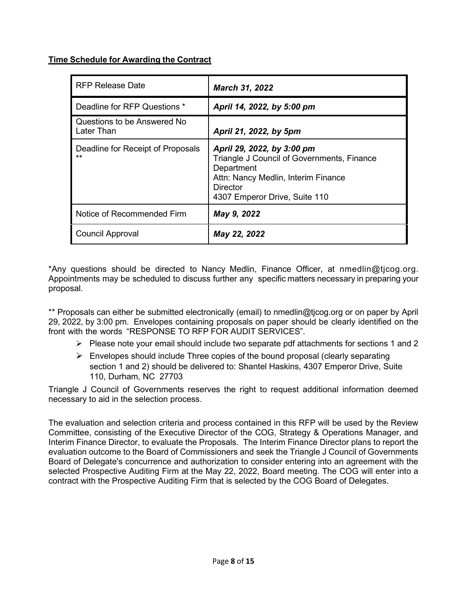## **Time Schedule for Awarding the Contract**

| <b>RFP Release Date</b>                    | <b>March 31, 2022</b>                                                                                                                                                             |
|--------------------------------------------|-----------------------------------------------------------------------------------------------------------------------------------------------------------------------------------|
| Deadline for RFP Questions *               | April 14, 2022, by 5:00 pm                                                                                                                                                        |
| Questions to be Answered No<br>Later Than  | April 21, 2022, by 5pm                                                                                                                                                            |
| Deadline for Receipt of Proposals<br>$***$ | April 29, 2022, by 3:00 pm<br>Triangle J Council of Governments, Finance<br>Department<br>Attn: Nancy Medlin, Interim Finance<br><b>Director</b><br>4307 Emperor Drive, Suite 110 |
| Notice of Recommended Firm                 | May 9, 2022                                                                                                                                                                       |
| <b>Council Approval</b>                    | May 22, 2022                                                                                                                                                                      |

\*Any questions should be directed to Nancy Medlin, Finance Officer, at nmedlin@tjcog.or[g.](mailto:jcrampton@cityofcreedmoor.org) Appointments may be scheduled to discuss further any specific matters necessary in preparing your proposal.

\*\* Proposals can either be submitted electronically (email) to nmedlin@tjcog.org or on paper by April 29, 2022, by 3:00 pm. Envelopes containing proposals on paper should be clearly identified on the front with the words "RESPONSE TO RFP FOR AUDIT SERVICES".

- $\triangleright$  Please note your email should include two separate pdf attachments for sections 1 and 2
- $\triangleright$  Envelopes should include Three copies of the bound proposal (clearly separating section 1 and 2) should be delivered to: Shantel Haskins, 4307 Emperor Drive, Suite 110, Durham, NC 27703

Triangle J Council of Governments reserves the right to request additional information deemed necessary to aid in the selection process.

The evaluation and selection criteria and process contained in this RFP will be used by the Review Committee, consisting of the Executive Director of the COG, Strategy & Operations Manager, and Interim Finance Director, to evaluate the Proposals. The Interim Finance Director plans to report the evaluation outcome to the Board of Commissioners and seek the Triangle J Council of Governments Board of Delegate's concurrence and authorization to consider entering into an agreement with the selected Prospective Auditing Firm at the May 22, 2022, Board meeting. The COG will enter into a contract with the Prospective Auditing Firm that is selected by the COG Board of Delegates.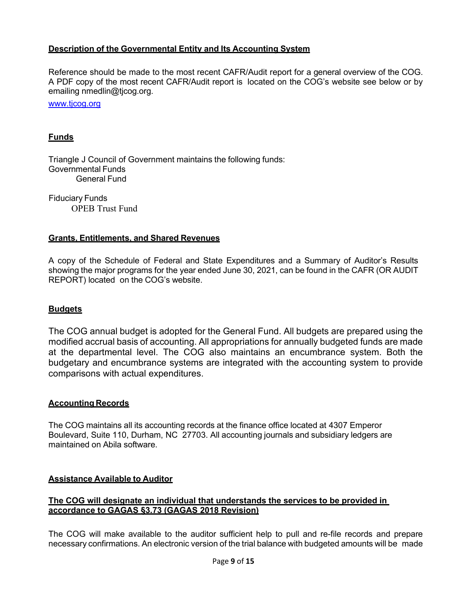#### **Description of the Governmental Entity and Its Accounting System**

Reference should be made to the most recent CAFR/Audit report for a general overview of the COG. A PDF copy of the most recent CAFR/Audit report is located on the COG's website see below or by emailing [nmedlin@tjcog.org.](mailto:jcrampton@cityofcreedmoor.org)

www.ticog.org

#### **Funds**

Triangle J Council of Government maintains the following funds: Governmental Funds General Fund

 Fiduciary Funds OPEB Trust Fund

#### **Grants, Entitlements, and Shared Revenues**

A copy of the Schedule of Federal and State Expenditures and a Summary of Auditor's Results showing the major programs for the year ended June 30, 2021, can be found in the CAFR (OR AUDIT REPORT) located on the COG's website.

#### **Budgets**

The COG annual budget is adopted for the General Fund. All budgets are prepared using the modified accrual basis of accounting. All appropriations for annually budgeted funds are made at the departmental level. The COG also maintains an encumbrance system. Both the budgetary and encumbrance systems are integrated with the accounting system to provide comparisons with actual expenditures.

#### **Accounting Records**

The COG maintains all its accounting records at the finance office located at 4307 Emperor Boulevard, Suite 110, Durham, NC 27703. All accounting journals and subsidiary ledgers are maintained on Abila software.

#### **Assistance Available to Auditor**

#### **The COG will designate an individual that understands the services to be provided in accordance to GAGAS §3.73 (GAGAS 2018 Revision)**

The COG will make available to the auditor sufficient help to pull and re-file records and prepare necessary confirmations. An electronic version of the trial balance with budgeted amounts will be made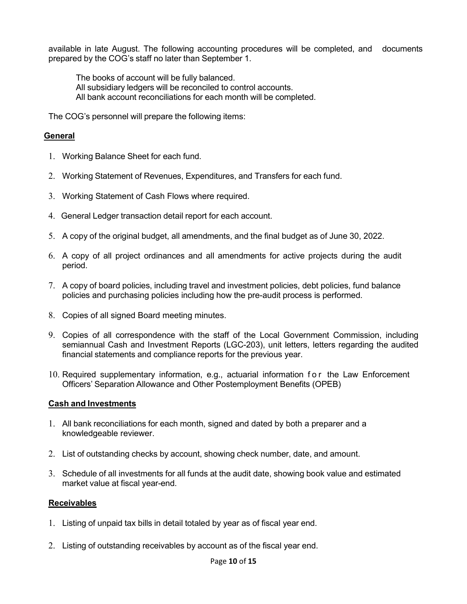available in late August. The following accounting procedures will be completed, and documents prepared by the COG's staff no later than September 1.

The books of account will be fully balanced.

- All subsidiary ledgers will be reconciled to control accounts.
- All bank account reconciliations for each month will be completed.

The COG's personnel will prepare the following items:

## **General**

- 1. Working Balance Sheet for each fund.
- 2. Working Statement of Revenues, Expenditures, and Transfers for each fund.
- 3. Working Statement of Cash Flows where required.
- 4. General Ledger transaction detail report for each account.
- 5. A copy of the original budget, all amendments, and the final budget as of June 30, 2022.
- 6. A copy of all project ordinances and all amendments for active projects during the audit period.
- 7. A copy of board policies, including travel and investment policies, debt policies, fund balance policies and purchasing policies including how the pre-audit process is performed.
- 8. Copies of all signed Board meeting minutes.
- 9. Copies of all correspondence with the staff of the Local Government Commission, including semiannual Cash and Investment Reports (LGC-203), unit letters, letters regarding the audited financial statements and compliance reports for the previous year.
- 10. Required supplementary information, e.g., actuarial information for the Law Enforcement Officers' Separation Allowance and Other Postemployment Benefits (OPEB)

#### **Cash and Investments**

- 1. All bank reconciliations for each month, signed and dated by both a preparer and a knowledgeable reviewer.
- 2. List of outstanding checks by account, showing check number, date, and amount.
- 3. Schedule of all investments for all funds at the audit date, showing book value and estimated market value at fiscal year-end.

#### **Receivables**

- 1. Listing of unpaid tax bills in detail totaled by year as of fiscal year end.
- 2. Listing of outstanding receivables by account as of the fiscal year end.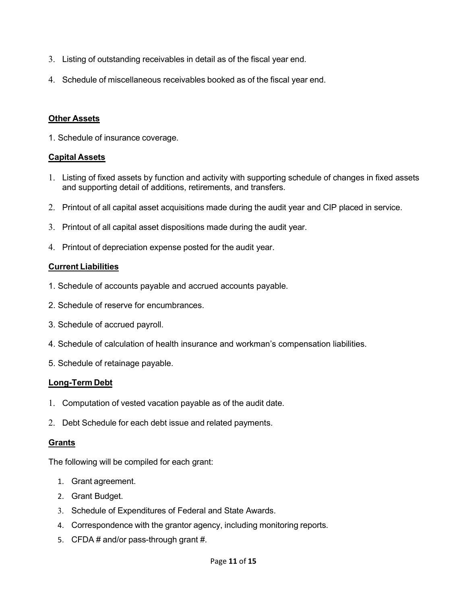- 3. Listing of outstanding receivables in detail as of the fiscal year end.
- 4. Schedule of miscellaneous receivables booked as of the fiscal year end.

#### **Other Assets**

1. Schedule of insurance coverage.

### **Capital Assets**

- 1. Listing of fixed assets by function and activity with supporting schedule of changes in fixed assets and supporting detail of additions, retirements, and transfers.
- 2. Printout of all capital asset acquisitions made during the audit year and CIP placed in service.
- 3. Printout of all capital asset dispositions made during the audit year.
- 4. Printout of depreciation expense posted for the audit year.

### **Current Liabilities**

- 1. Schedule of accounts payable and accrued accounts payable.
- 2. Schedule of reserve for encumbrances.
- 3. Schedule of accrued payroll.
- 4. Schedule of calculation of health insurance and workman's compensation liabilities.
- 5. Schedule of retainage payable.

#### **Long-Term Debt**

- 1. Computation of vested vacation payable as of the audit date.
- 2. Debt Schedule for each debt issue and related payments.

#### **Grants**

The following will be compiled for each grant:

- 1. Grant agreement.
- 2. Grant Budget.
- 3. Schedule of Expenditures of Federal and State Awards.
- 4. Correspondence with the grantor agency, including monitoring reports.
- 5. CFDA # and/or pass-through grant #.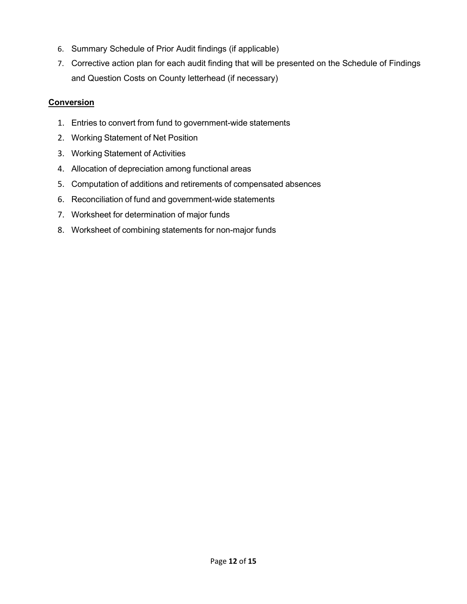- 6. Summary Schedule of Prior Audit findings (if applicable)
- 7. Corrective action plan for each audit finding that will be presented on the Schedule of Findings and Question Costs on County letterhead (if necessary)

## **Conversion**

- 1. Entries to convert from fund to government-wide statements
- 2. Working Statement of Net Position
- 3. Working Statement of Activities
- 4. Allocation of depreciation among functional areas
- 5. Computation of additions and retirements of compensated absences
- 6. Reconciliation of fund and government-wide statements
- 7. Worksheet for determination of major funds
- 8. Worksheet of combining statements for non-major funds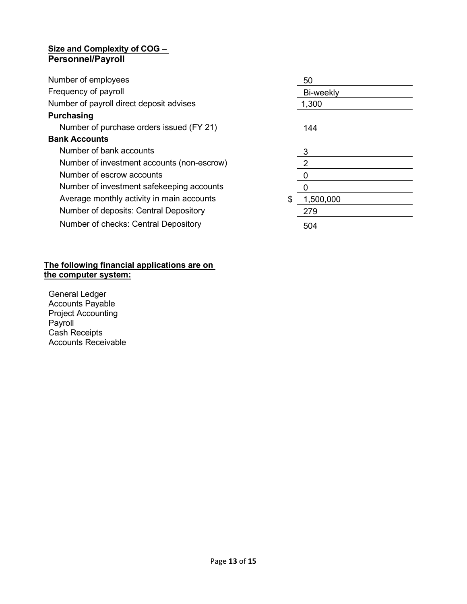## **Size and Complexity of COG – Personnel/Payroll**

| Number of employees                        |     | 50               |  |
|--------------------------------------------|-----|------------------|--|
| Frequency of payroll                       |     | Bi-weekly        |  |
| Number of payroll direct deposit advises   |     | 1,300            |  |
| <b>Purchasing</b>                          |     |                  |  |
| Number of purchase orders issued (FY 21)   |     | 144              |  |
| <b>Bank Accounts</b>                       |     |                  |  |
| Number of bank accounts                    |     | 3                |  |
| Number of investment accounts (non-escrow) |     | $\overline{2}$   |  |
| Number of escrow accounts                  |     | $\boldsymbol{0}$ |  |
| Number of investment safekeeping accounts  |     |                  |  |
| Average monthly activity in main accounts  | \$. | 1,500,000        |  |
| Number of deposits: Central Depository     |     | 279              |  |
| Number of checks: Central Depository       |     | 504              |  |
|                                            |     |                  |  |

#### **The following financial applications are on the computer system:**

General Ledger Accounts Payable Project Accounting Payroll Cash Receipts Accounts Receivable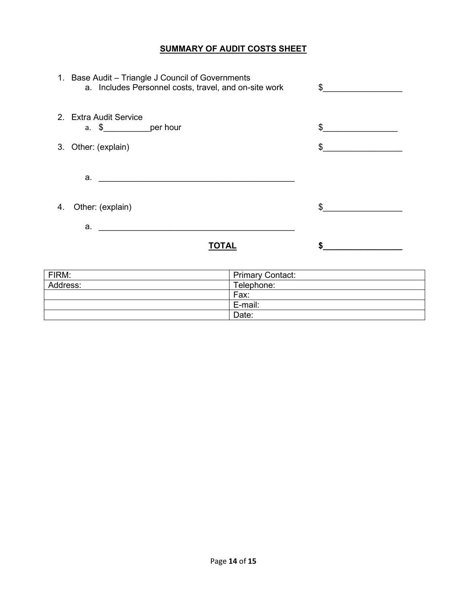### **SUMMARY OF AUDIT COSTS SHEET**

|    | 1. Base Audit - Triangle J Council of Governments<br>a. Includes Personnel costs, travel, and on-site work | $\sim$ |
|----|------------------------------------------------------------------------------------------------------------|--------|
|    | 2. Extra Audit Service<br>a. \$________________per hour                                                    | \$     |
|    | 3. Other: (explain)                                                                                        | \$     |
|    | a. <u>_____________________________</u>                                                                    |        |
| 4. | Other: (explain)                                                                                           | \$     |
|    | $a.$ and $a.$                                                                                              |        |
|    |                                                                                                            |        |

| FIRM:    | <b>Primary Contact:</b> |
|----------|-------------------------|
| Address: | Telephone:              |
|          | Fax:                    |
|          | E-mail:                 |
|          | Date:                   |